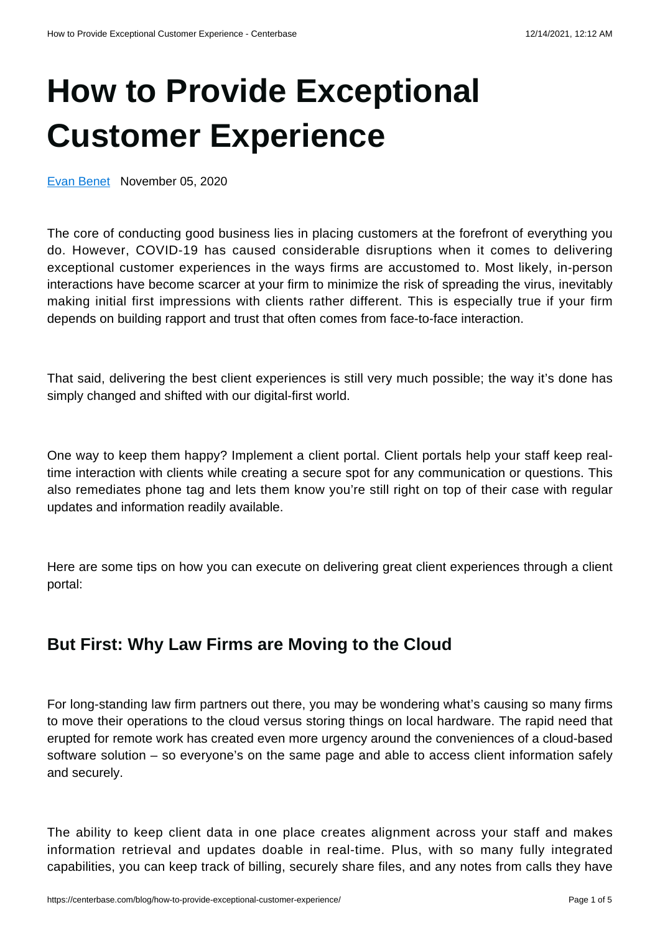# **[How to Provide Exceptional](https://centerbase.com/blog/how-to-provide-exceptional-customer-experience/) [Customer Experience](https://centerbase.com/blog/how-to-provide-exceptional-customer-experience/)**

[Evan Benet](https://centerbase.com/blog/author/evan-benet/) November 05, 2020

The core of conducting good business lies in placing customers at the forefront of everything you do. However, COVID-19 has caused considerable disruptions when it comes to delivering exceptional customer experiences in the ways firms are accustomed to. Most likely, in-person interactions have become scarcer at your firm to minimize the risk of spreading the virus, inevitably making initial first impressions with clients rather different. This is especially true if your firm depends on building rapport and trust that often comes from face-to-face interaction.

That said, delivering the best client experiences is still very much possible; the way it's done has simply changed and shifted with our digital-first world.

One way to keep them happy? Implement a client portal. Client portals help your staff keep realtime interaction with clients while creating a secure spot for any communication or questions. This also remediates phone tag and lets them know you're still right on top of their case with regular updates and information readily available.

Here are some tips on how you can execute on delivering great client experiences through a client portal:

# **But First: Why Law Firms are Moving to the Cloud**

For long-standing law firm partners out there, you may be wondering what's causing so many firms to move their operations to the cloud versus storing things on local hardware. The rapid need that erupted for remote work has created even more urgency around the conveniences of a cloud-based software solution – so everyone's on the same page and able to access client information safely and securely.

The ability to keep client data in one place creates alignment across your staff and makes information retrieval and updates doable in real-time. Plus, with so many fully integrated capabilities, you can keep track of billing, securely share files, and any notes from calls they have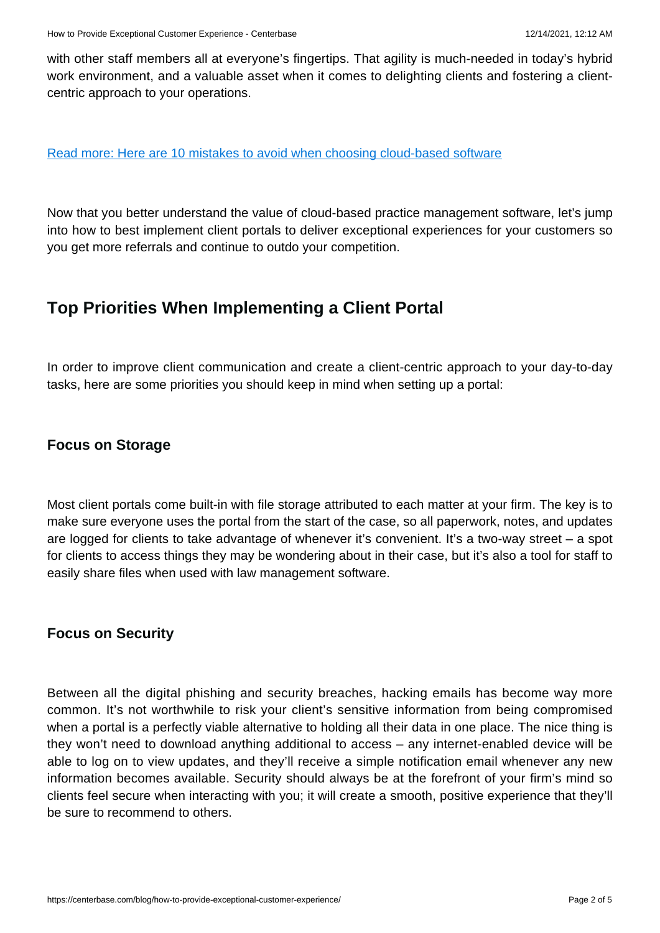with other staff members all at everyone's fingertips. That agility is much-needed in today's hybrid work environment, and a valuable asset when it comes to delighting clients and fostering a clientcentric approach to your operations.

#### [Read more: Here are 10 mistakes to avoid when choosing cloud-based software](https://centerbase.com/resources/10-mistakes-to-avoid-when-choosing-cloud-based-software/)

Now that you better understand the value of cloud-based practice management software, let's jump into how to best implement client portals to deliver exceptional experiences for your customers so you get more referrals and continue to outdo your competition.

# **Top Priorities When Implementing a Client Portal**

In order to improve client communication and create a client-centric approach to your day-to-day tasks, here are some priorities you should keep in mind when setting up a portal:

#### **Focus on Storage**

Most client portals come built-in with file storage attributed to each matter at your firm. The key is to make sure everyone uses the portal from the start of the case, so all paperwork, notes, and updates are logged for clients to take advantage of whenever it's convenient. It's a two-way street – a spot for clients to access things they may be wondering about in their case, but it's also a tool for staff to easily share files when used with law management software.

#### **Focus on Security**

Between all the digital phishing and security breaches, hacking emails has become way more common. It's not worthwhile to risk your client's sensitive information from being compromised when a portal is a perfectly viable alternative to holding all their data in one place. The nice thing is they won't need to download anything additional to access – any internet-enabled device will be able to log on to view updates, and they'll receive a simple notification email whenever any new information becomes available. Security should always be at the forefront of your firm's mind so clients feel secure when interacting with you; it will create a smooth, positive experience that they'll be sure to recommend to others.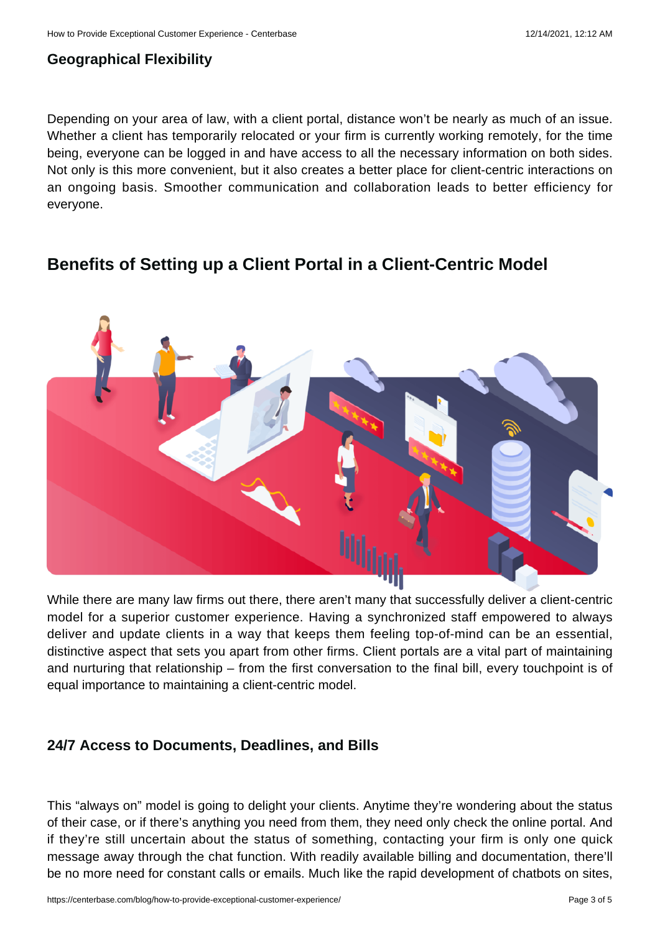## **Geographical Flexibility**

Depending on your area of law, with a client portal, distance won't be nearly as much of an issue. Whether a client has temporarily relocated or your firm is currently working remotely, for the time being, everyone can be logged in and have access to all the necessary information on both sides. Not only is this more convenient, but it also creates a better place for client-centric interactions on an ongoing basis. Smoother communication and collaboration leads to better efficiency for everyone.



# **Benefits of Setting up a Client Portal in a Client-Centric Model**

While there are many law firms out there, there aren't many that successfully deliver a client-centric model for a superior customer experience. Having a synchronized staff empowered to always deliver and update clients in a way that keeps them feeling top-of-mind can be an essential, distinctive aspect that sets you apart from other firms. Client portals are a vital part of maintaining and nurturing that relationship – from the first conversation to the final bill, every touchpoint is of equal importance to maintaining a client-centric model.

## **24/7 Access to Documents, Deadlines, and Bills**

This "always on" model is going to delight your clients. Anytime they're wondering about the status of their case, or if there's anything you need from them, they need only check the online portal. And if they're still uncertain about the status of something, contacting your firm is only one quick message away through the chat function. With readily available billing and documentation, there'll be no more need for constant calls or emails. Much like the rapid development of chatbots on sites,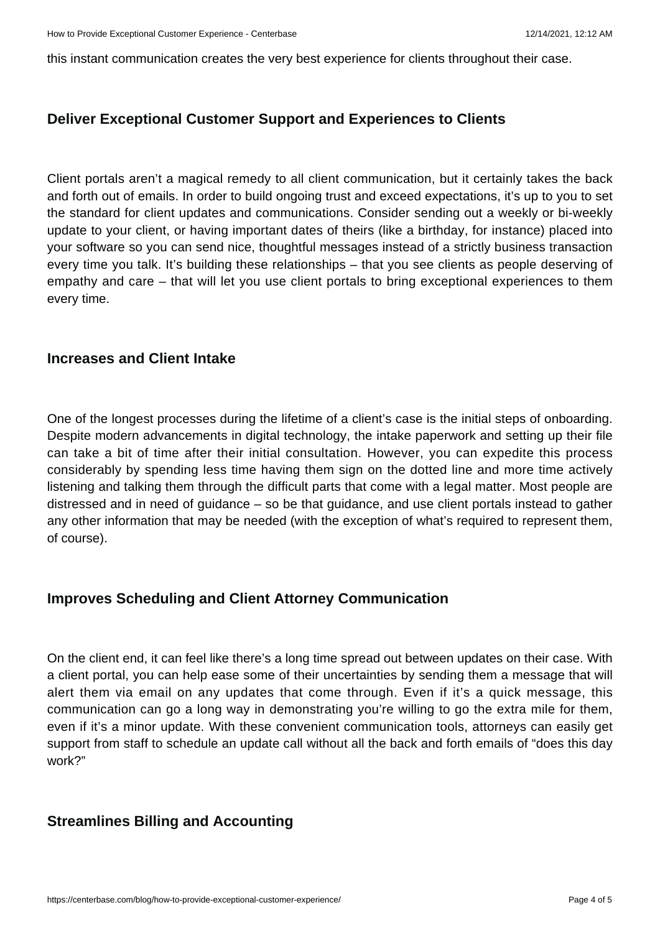this instant communication creates the very best experience for clients throughout their case.

#### **Deliver Exceptional Customer Support and Experiences to Clients**

Client portals aren't a magical remedy to all client communication, but it certainly takes the back and forth out of emails. In order to build ongoing trust and exceed expectations, it's up to you to set the standard for client updates and communications. Consider sending out a weekly or bi-weekly update to your client, or having important dates of theirs (like a birthday, for instance) placed into your software so you can send nice, thoughtful messages instead of a strictly business transaction every time you talk. It's building these relationships – that you see clients as people deserving of empathy and care – that will let you use client portals to bring exceptional experiences to them every time.

#### **Increases and Client Intake**

One of the longest processes during the lifetime of a client's case is the initial steps of onboarding. Despite modern advancements in digital technology, the intake paperwork and setting up their file can take a bit of time after their initial consultation. However, you can expedite this process considerably by spending less time having them sign on the dotted line and more time actively listening and talking them through the difficult parts that come with a legal matter. Most people are distressed and in need of guidance – so be that guidance, and use client portals instead to gather any other information that may be needed (with the exception of what's required to represent them, of course).

## **Improves Scheduling and Client Attorney Communication**

On the client end, it can feel like there's a long time spread out between updates on their case. With a client portal, you can help ease some of their uncertainties by sending them a message that will alert them via email on any updates that come through. Even if it's a quick message, this communication can go a long way in demonstrating you're willing to go the extra mile for them, even if it's a minor update. With these convenient communication tools, attorneys can easily get support from staff to schedule an update call without all the back and forth emails of "does this day work?"

## **Streamlines Billing and Accounting**